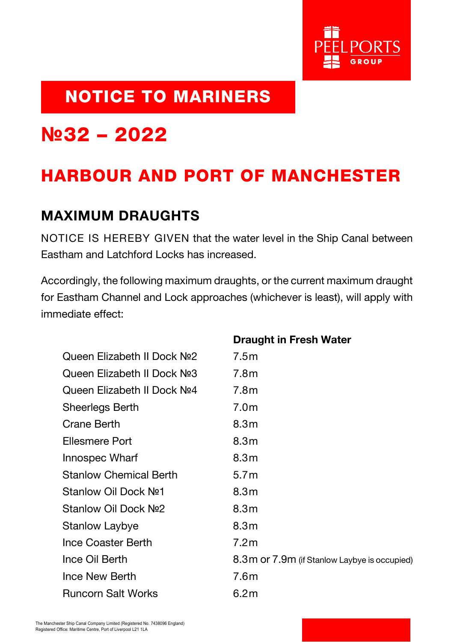

## NOTICE TO MARINERS

## **№**32 – 2022

## HARBOUR AND PORT OF MANCHESTER

## MAXIMUM DRAUGHTS

NOTICE IS HEREBY GIVEN that the water level in the Ship Canal between Eastham and Latchford Locks has increased.

Accordingly, the following maximum draughts, or the current maximum draught for Eastham Channel and Lock approaches (whichever is least), will apply with immediate effect:

|                                         | <b>Draught in Fresh Water</b>                  |
|-----------------------------------------|------------------------------------------------|
| Queen Elizabeth II Dock Nº2             | 7.5m                                           |
| Queen Elizabeth II Dock No <sub>2</sub> | 7.8 <sub>m</sub>                               |
| Queen Elizabeth II Dock Nº4             | 7.8 <sub>m</sub>                               |
| <b>Sheerlegs Berth</b>                  | 7.0 <sub>m</sub>                               |
| <b>Crane Berth</b>                      | 8.3 <sub>m</sub>                               |
| <b>Ellesmere Port</b>                   | 8.3 <sub>m</sub>                               |
| Innospec Wharf                          | 8.3 <sub>m</sub>                               |
| <b>Stanlow Chemical Berth</b>           | 5.7 <sub>m</sub>                               |
| Stanlow Oil Dock No <sub>1</sub>        | 8.3 <sub>m</sub>                               |
| Stanlow Oil Dock Nº2                    | 8.3 <sub>m</sub>                               |
| Stanlow Laybye                          | 8.3 <sub>m</sub>                               |
| Ince Coaster Berth                      | 7.2 <sub>m</sub>                               |
| Ince Oil Berth                          | 8.3 m or 7.9 m (if Stanlow Laybye is occupied) |
| Ince New Berth                          | 7.6 <sub>m</sub>                               |
| <b>Runcorn Salt Works</b>               | 6.2m                                           |
|                                         |                                                |